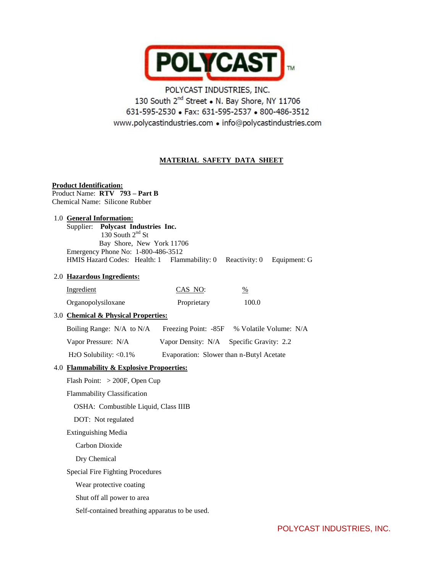

# POLYCAST INDUSTRIES, INC. 130 South 2<sup>nd</sup> Street . N. Bay Shore, NY 11706 631-595-2530 • Fax: 631-595-2537 • 800-486-3512 www.polycastindustries.com · info@polycastindustries.com

# **MATERIAL SAFETY DATA SHEET**

# **Product Identification:**

Product Name: **RTV 793 – Part B** Chemical Name: Silicone Rubber

#### 1.0 **General Information:**

 Supplier: **Polycast Industries Inc.** 130 South  $2<sup>nd</sup>$  St Bay Shore, New York 11706 Emergency Phone No: 1-800-486-3512 HMIS Hazard Codes: Health: 1 Flammability: 0 Reactivity: 0 Equipment: G

# 2.0 **Hazardous Ingredients:**

| Ingredient                        | CAS NO:     | %     |
|-----------------------------------|-------------|-------|
| Organopolysiloxane                | Proprietary | 100.0 |
| 30 Chamical & Physical Properties |             |       |

# 3.0 **Chemical & Physical Properties:**

| Boiling Range: N/A to N/A              | Freezing Point: -85F                     | % Volatile Volume: N/A                   |
|----------------------------------------|------------------------------------------|------------------------------------------|
| Vapor Pressure: N/A                    |                                          | Vapor Density: N/A Specific Gravity: 2.2 |
| H <sub>2</sub> O Solubility: $< 0.1\%$ | Evaporation: Slower than n-Butyl Acetate |                                          |

4.0 **Flammability & Explosive Propoerties:**

Flash Point: > 200F, Open Cup

Flammability Classification

OSHA: Combustible Liquid, Class IIIB

DOT: Not regulated

Extinguishing Media

Carbon Dioxide

Dry Chemical

Special Fire Fighting Procedures

Wear protective coating

Shut off all power to area

Self-contained breathing apparatus to be used.